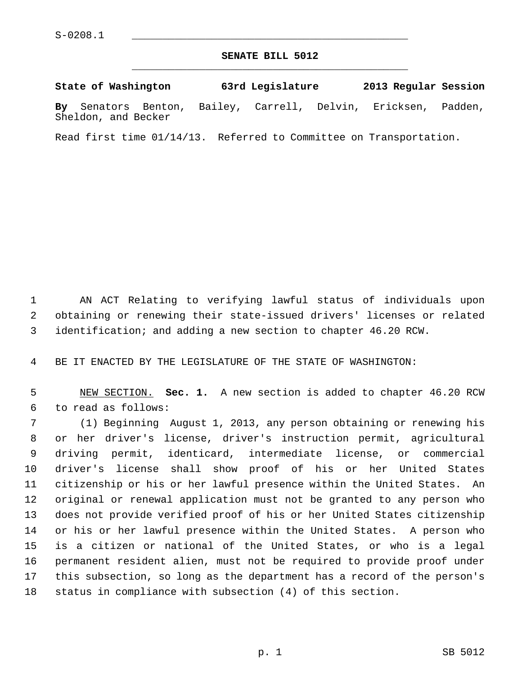## **SENATE BILL 5012** \_\_\_\_\_\_\_\_\_\_\_\_\_\_\_\_\_\_\_\_\_\_\_\_\_\_\_\_\_\_\_\_\_\_\_\_\_\_\_\_\_\_\_\_\_

**State of Washington 63rd Legislature 2013 Regular Session By** Senators Benton, Bailey, Carrell, Delvin, Ericksen, Padden, Sheldon, and Becker

Read first time 01/14/13. Referred to Committee on Transportation.

 1 AN ACT Relating to verifying lawful status of individuals upon 2 obtaining or renewing their state-issued drivers' licenses or related 3 identification; and adding a new section to chapter 46.20 RCW.

4 BE IT ENACTED BY THE LEGISLATURE OF THE STATE OF WASHINGTON:

 5 NEW SECTION. **Sec. 1.** A new section is added to chapter 46.20 RCW 6 to read as follows:

 7 (1) Beginning August 1, 2013, any person obtaining or renewing his 8 or her driver's license, driver's instruction permit, agricultural 9 driving permit, identicard, intermediate license, or commercial 10 driver's license shall show proof of his or her United States 11 citizenship or his or her lawful presence within the United States. An 12 original or renewal application must not be granted to any person who 13 does not provide verified proof of his or her United States citizenship 14 or his or her lawful presence within the United States. A person who 15 is a citizen or national of the United States, or who is a legal 16 permanent resident alien, must not be required to provide proof under 17 this subsection, so long as the department has a record of the person's 18 status in compliance with subsection (4) of this section.